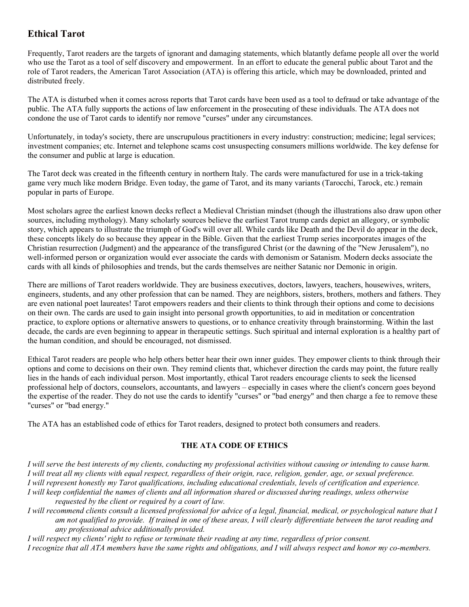## **Ethical Tarot**

Frequently, Tarot readers are the targets of ignorant and damaging statements, which blatantly defame people all over the world who use the Tarot as a tool of self discovery and empowerment. In an effort to educate the general public about Tarot and the role of Tarot readers, the American Tarot Association (ATA) is offering this article, which may be downloaded, printed and distributed freely.

The ATA is disturbed when it comes across reports that Tarot cards have been used as a tool to defraud or take advantage of the public. The ATA fully supports the actions of law enforcement in the prosecuting of these individuals. The ATA does not condone the use of Tarot cards to identify nor remove "curses" under any circumstances.

Unfortunately, in today's society, there are unscrupulous practitioners in every industry: construction; medicine; legal services; investment companies; etc. Internet and telephone scams cost unsuspecting consumers millions worldwide. The key defense for the consumer and public at large is education.

The Tarot deck was created in the fifteenth century in northern Italy. The cards were manufactured for use in a trick-taking game very much like modern Bridge. Even today, the game of Tarot, and its many variants (Tarocchi, Tarock, etc.) remain popular in parts of Europe.

Most scholars agree the earliest known decks reflect a Medieval Christian mindset (though the illustrations also draw upon other sources, including mythology). Many scholarly sources believe the earliest Tarot trump cards depict an allegory, or symbolic story, which appears to illustrate the triumph of God's will over all. While cards like Death and the Devil do appear in the deck, these concepts likely do so because they appear in the Bible. Given that the earliest Trump series incorporates images of the Christian resurrection (Judgment) and the appearance of the transfigured Christ (or the dawning of the "New Jerusalem"), no well-informed person or organization would ever associate the cards with demonism or Satanism. Modern decks associate the cards with all kinds of philosophies and trends, but the cards themselves are neither Satanic nor Demonic in origin.

There are millions of Tarot readers worldwide. They are business executives, doctors, lawyers, teachers, housewives, writers, engineers, students, and any other profession that can be named. They are neighbors, sisters, brothers, mothers and fathers. They are even national poet laureates! Tarot empowers readers and their clients to think through their options and come to decisions on their own. The cards are used to gain insight into personal growth opportunities, to aid in meditation or concentration practice, to explore options or alternative answers to questions, or to enhance creativity through brainstorming. Within the last decade, the cards are even beginning to appear in therapeutic settings. Such spiritual and internal exploration is a healthy part of the human condition, and should be encouraged, not dismissed.

Ethical Tarot readers are people who help others better hear their own inner guides. They empower clients to think through their options and come to decisions on their own. They remind clients that, whichever direction the cards may point, the future really lies in the hands of each individual person. Most importantly, ethical Tarot readers encourage clients to seek the licensed professional help of doctors, counselors, accountants, and lawyers – especially in cases where the client's concern goes beyond the expertise of the reader. They do not use the cards to identify "curses" or "bad energy" and then charge a fee to remove these "curses" or "bad energy."

The ATA has an established code of ethics for Tarot readers, designed to protect both consumers and readers.

## **THE ATA CODE OF ETHICS**

*I will serve the best interests of my clients, conducting my professional activities without causing or intending to cause harm. I will treat all my clients with equal respect, regardless of their origin, race, religion, gender, age, or sexual preference. I will represent honestly my Tarot qualifications, including educational credentials, levels of certification and experience. I will keep confidential the names of clients and all information shared or discussed during readings, unless otherwise*

*requested by the client or required by a court of law.*

*I will recommend clients consult a licensed professional for advice of a legal, financial, medical, or psychological nature that I am not qualified to provide. If trained in one of these areas, I will clearly differentiate between the tarot reading and any professional advice additionally provided.*

*I will respect my clients' right to refuse or terminate their reading at any time, regardless of prior consent. I recognize that all ATA members have the same rights and obligations, and I will always respect and honor my co-members.*